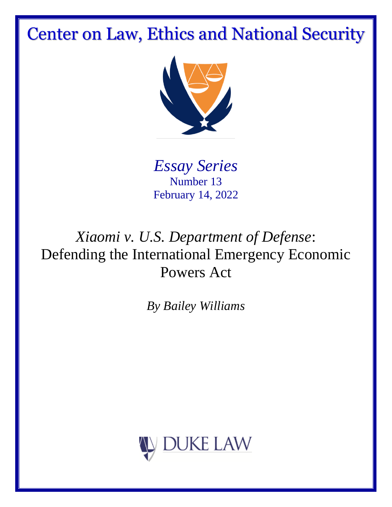# Center on Law, Ethics and National Security



*Essay Series* Number 13 February 14, 2022

## *Xiaomi v. U.S. Department of Defense*: Defending the International Emergency Economic Powers Act

*By Bailey Williams*

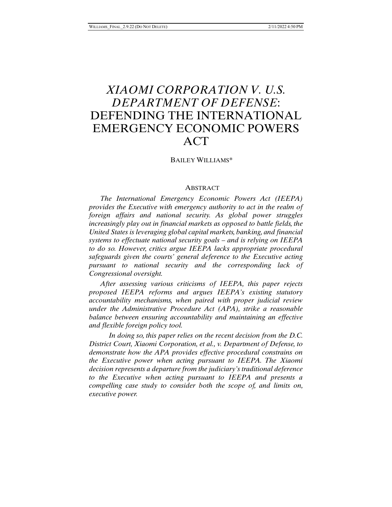### *XIAOMI CORPORATION V. U.S. DEPARTMENT OF DEFENSE*: DEFENDING THE INTERNATIONAL EMERGENCY ECONOMIC POWERS ACT

BAILEY WILLIAMS\*

#### **ABSTRACT**

*The International Emergency Economic Powers Act (IEEPA) provides the Executive with emergency authority to act in the realm of foreign affairs and national security. As global power struggles increasingly play out in financial markets as opposed to battle fields, the United States is leveraging global capital markets, banking, and financial systems to effectuate national security goals – and is relying on IEEPA to do so. However, critics argue IEEPA lacks appropriate procedural safeguards given the courts' general deference to the Executive acting pursuant to national security and the corresponding lack of Congressional oversight.* 

*After assessing various criticisms of IEEPA, this paper rejects proposed IEEPA reforms and argues IEEPA's existing statutory accountability mechanisms, when paired with proper judicial review under the Administrative Procedure Act (APA), strike a reasonable balance between ensuring accountability and maintaining an effective and flexible foreign policy tool.* 

*In doing so, this paper relies on the recent decision from the D.C. District Court, Xiaomi Corporation, et al., v. Department of Defense, to demonstrate how the APA provides effective procedural constrains on the Executive power when acting pursuant to IEEPA. The Xiaomi decision represents a departure from the judiciary's traditional deference to the Executive when acting pursuant to IEEPA and presents a compelling case study to consider both the scope of, and limits on, executive power.*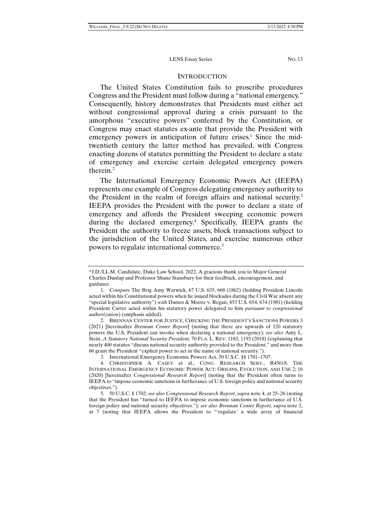#### **INTRODUCTION**

The United States Constitution fails to proscribe procedures Congress and the President must follow during a "national emergency." Consequently, history demonstrates that Presidents must either act without congressional approval during a crisis pursuant to the amorphous "executive powers" conferred by the Constitution, or Congress may enact statutes ex-ante that provide the President with emergency powers in anticipation of future crises.<sup>1</sup> Since the midtwentieth century the latter method has prevailed, with Congress enacting dozens of statutes permitting the President to declare a state of emergency and exercise certain delegated emergency powers therein.2

The International Emergency Economic Powers Act (IEEPA) represents one example of Congress delegating emergency authority to the President in the realm of foreign affairs and national security.<sup>3</sup> IEEPA provides the President with the power to declare a state of emergency and affords the President sweeping economic powers during the declared emergency.<sup>4</sup> Specifically, IEEPA grants the President the authority to freeze assets, block transactions subject to the jurisdiction of the United States, and exercise numerous other powers to regulate international commerce.5

<sup>\*</sup>J.D./LL.M. Candidate, Duke Law School, 2022. A gracious thank you to Major General Charles Dunlap and Professor Shane Stansbury for their feedback, encouragement, and guidance.

 <sup>1.</sup> *Compare* The Brig Amy Warwick, 67 U.S. 635, 668 (1862) (holding President Lincoln acted within his Constitutional powers when he issued blockades during the Civil War absent any "special legislative authority") *with* Dames & Moore v. Regan, 453 U.S. 654, 674 (1981) (holding President Carter acted within his statutory power delegated to him *pursuant to congressional authorization*) (emphasis added).

 <sup>2.</sup> BRENNAN CENTER FOR JUSTICE, CHECKING THE PRESIDENT'S SANCTIONS POWERS 3 (2021) [hereinafter *Brennan Center Report*] (noting that there are upwards of 120 statutory powers the U.S. President can invoke when declaring a national emergency); *see also* Amy L. Stein, *A Statutory National Security President*, 70 FLA. L. REV. 1183, 1193 (2018) (explaining that nearly 400 statutes "discuss national security authority provided to the President," and more than 60 grant the President "explicit power to act in the name of national security.").

 <sup>3.</sup> International Emergency Economic Powers Act, 50 U.S.C. §§ 1701–1707.

 <sup>4.</sup> CHRISTOPHER A. CASEY et al., CONG. RESEARCH SERV., R45618, THE INTERNATIONAL EMERGENCY ECONOMIC POWER ACT: ORIGINS, EVOLUTION, AND USE 2; 16 (2020) [hereinafter *Congressional Research Report*] (noting that the President often turns to IEEPA to "impose economic sanctions in furtherance of U.S. foreign policy and national security objectives.").

 <sup>5. 50</sup> U.S.C. § 1702; *see also Congressional Research Report*, *supra* note 4, at 25–26 (noting that the President has "turned to IEEPA to impose economic sanctions in furtherance of U.S. foreign policy and national security objectives."); *see also Brennan Center Report*, *supra* note 2, at 7 (noting that IEEPA allows the President to "'regulate' a wide array of financial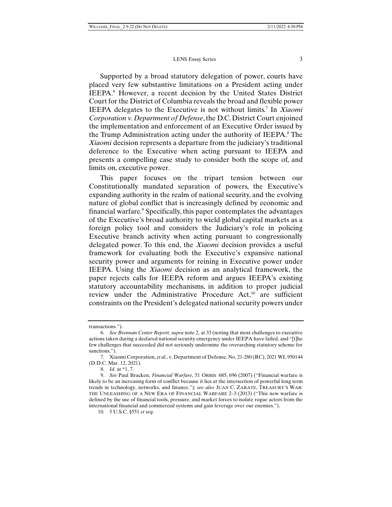Supported by a broad statutory delegation of power, courts have placed very few substantive limitations on a President acting under IEEPA.<sup>6</sup> However, a recent decision by the United States District Court for the District of Columbia reveals the broad and flexible power IEEPA delegates to the Executive is not without limits.7 In *Xiaomi Corporation v. Department of Defense*, the D.C. District Court enjoined the implementation and enforcement of an Executive Order issued by the Trump Administration acting under the authority of IEEPA.<sup>8</sup> The *Xiaomi* decision represents a departure from the judiciary's traditional deference to the Executive when acting pursuant to IEEPA and presents a compelling case study to consider both the scope of, and limits on, executive power.

This paper focuses on the tripart tension between our Constitutionally mandated separation of powers, the Executive's expanding authority in the realm of national security, and the evolving nature of global conflict that is increasingly defined by economic and financial warfare.<sup>9</sup> Specifically, this paper contemplates the advantages of the Executive's broad authority to wield global capital markets as a foreign policy tool and considers the Judiciary's role in policing Executive branch activity when acting pursuant to congressionally delegated power. To this end, the *Xiaomi* decision provides a useful framework for evaluating both the Executive's expansive national security power and arguments for reining in Executive power under IEEPA. Using the *Xiaomi* decision as an analytical framework, the paper rejects calls for IEEPA reform and argues IEEPA's existing statutory accountability mechanisms, in addition to proper judicial review under the Administrative Procedure Act,<sup>10</sup> are sufficient constraints on the President's delegated national security powers under

transactions.").

 <sup>6.</sup> *See Brennan Center Report*, *supra* note 2, at 33 (noting that most challenges to executive actions taken during a declared national security emergency under IEEPA have failed, and "[t]he few challenges that succeeded did not seriously undermine the overarching statutory scheme for sanctions.").

 <sup>7.</sup> Xiaomi Corporation, *et al.*, v. Department of Defense, No. 21-280 (RC), 2021 WL 950144 (D.D.C. Mar. 12, 2021).

 <sup>8.</sup> *Id.* at \*1, 7.

 <sup>9.</sup> *See* Paul Bracken, *Financial Warfare*, 51 ORBIS 685, 696 (2007) ("Financial warfare is likely to be an increasing form of conflict because it lies at the intersection of powerful long term trends in technology, networks, and finance."); *see also* JUAN C. ZARATE, TREASURY'S WAR: THE UNLEASHING OF A NEW ERA OF FINANCIAL WARFARE 2–3 (2013) ("This new warfare is defined by the use of financial tools, pressure, and market forces to isolate rogue actors from the international financial and commercial systems and gain leverage over our enemies.").

 <sup>10. 5</sup> U.S.C. §551 *et seq.*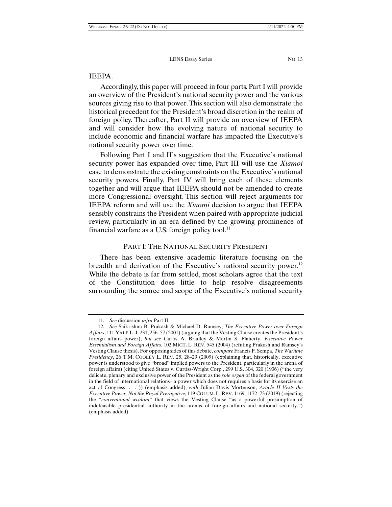#### IEEPA.

Accordingly, this paper will proceed in four parts. Part I will provide an overview of the President's national security power and the various sources giving rise to that power. This section will also demonstrate the historical precedent for the President's broad discretion in the realm of foreign policy. Thereafter, Part II will provide an overview of IEEPA and will consider how the evolving nature of national security to include economic and financial warfare has impacted the Executive's national security power over time.

Following Part I and II's suggestion that the Executive's national security power has expanded over time, Part III will use the *Xiamoi* case to demonstrate the existing constraints on the Executive's national security powers. Finally, Part IV will bring each of these elements together and will argue that IEEPA should not be amended to create more Congressional oversight. This section will reject arguments for IEEPA reform and will use the *Xiaomi* decision to argue that IEEPA sensibly constrains the President when paired with appropriate judicial review, particularly in an era defined by the growing prominence of financial warfare as a U.S. foreign policy tool. $^{11}$ 

#### PART I: THE NATIONAL SECURITY PRESIDENT

There has been extensive academic literature focusing on the breadth and derivation of the Executive's national security power.<sup>12</sup> While the debate is far from settled, most scholars agree that the text of the Constitution does little to help resolve disagreements surrounding the source and scope of the Executive's national security

 <sup>11.</sup> *See* discussion *infra* Part II.

 <sup>12.</sup> *See* Saikrishna B. Prakash & Michael D. Ramsey, *The Executive Power over Foreign Affairs*, 111 YALE L. J. 231, 256–57 (2001) (arguing that the Vesting Clause creates the President's foreign affairs power); *but see* Curtis A. Bradley & Martin S. Flaherty, *Executive Power Essentialism and Foreign Affairs*, 102 MICH. L. REV. 545 (2004) (refuting Prakash and Ramsey's Vesting Clause thesis). For opposing sides of this debate, *compare* Francis P. Sempa, *The Wartime Presidency*, 26 T.M. COOLEY L. REV. 25, 28–29 (2009) (explaining that, historically, executive power is understood to give "broad" implied powers to the President, particularly in the arena of foreign affairs) (citing United States v. Curtiss-Wright Corp., 299 U.S. 304, 320 (1936) ("the very delicate, plenary and exclusive power of the President as the *sole organ* of the federal government in the field of international relations– a power which does not requires a basis for its exercise an act of Congress . . . .")) (emphasis added), *with* Julian Davis Mortenson, *Article II Vests the Executive Power, Not the Royal Prerogative*, 119 COLUM. L. REV. 1169, 1172–73 (2019) (rejecting the "*conventional wisdom*" that views the Vesting Clause "as a powerful presumption of indefeasible presidential authority in the arenas of foreign affairs and national security.") (emphasis added).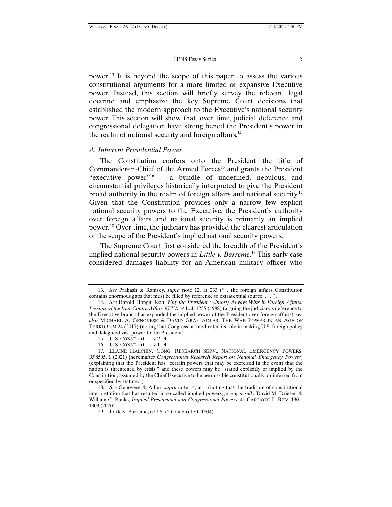power.13 It is beyond the scope of this paper to assess the various constitutional arguments for a more limited or expansive Executive power. Instead, this section will briefly survey the relevant legal doctrine and emphasize the key Supreme Court decisions that established the modern approach to the Executive's national security power. This section will show that, over time, judicial deference and congressional delegation have strengthened the President's power in the realm of national security and foreign affairs.<sup>14</sup>

#### *A. Inherent Presidential Power*

The Constitution confers onto the President the title of Commander-in-Chief of the Armed Forces<sup>15</sup> and grants the President "executive power"16 – a bundle of undefined, nebulous, and circumstantial privileges historically interpreted to give the President broad authority in the realm of foreign affairs and national security.17 Given that the Constitution provides only a narrow few explicit national security powers to the Executive, the President's authority over foreign affairs and national security is primarily an implied power.18 Over time, the judiciary has provided the clearest articulation of the scope of the President's implied national security powers.

The Supreme Court first considered the breadth of the President's implied national security powers in *Little v. Barreme*. 19 This early case considered damages liability for an American military officer who

 <sup>13.</sup> *See* Prakash & Ramsey, *supra* note 12, at 233 (". . .the foreign affairs Constitution contains enormous gaps that must be filled by reference to extratextual source. . . .").

 <sup>14.</sup> *See* Harold Hongju Koh, *Why the President (Almost) Always Wins in Foreign Affairs: Lessons of the Iran-Contra Affair*, 97 YALE L. J. 1255 (1988) (arguing the judiciary's deference to the Executive branch has expanded the implied power of the President over foreign affairs); *see also* MICHAEL A. GENOVESE & DAVID GRAY ADLER, THE WAR POWER IN AN AGE OF TERRORISM 24 (2017) (noting that Congress has abdicated its role in making U.S. foreign policy and delegated vast power to the President).

 <sup>15.</sup> U.S. CONST. art. II, § 2, cl. 1.

 <sup>16.</sup> U.S. CONST. art. II, § 1, cl. 1.

 <sup>17.</sup> ELAINE HALCHIN, CONG. RESEARCH SERV., NATIONAL EMERGENCY POWERS, R98505, 1 (2021) [hereinafter *Congressional Research Report on National Emergency Powers*] (explaining that the President has "certain powers that may be exercised in the event that the nation is threatened by crisis," and these powers may be "stated explicitly or implied by the Constitution, assumed by the Chief Executive to be permissible constitutionally, or inferred from or specified by statute.").

 <sup>18.</sup> *See* Genovese & Adler, *supra* note 14, at 1 (noting that the tradition of constitutional interpretation that has resulted in so-called implied powers); *see generally* David M. Driesen & William C. Banks, *Implied Presidential and Congressional Powers*, 41 CARDOZO L. REV. 1301, 1303 (2020).

 <sup>19.</sup> Little v. Barreme, 6 U.S. (2 Cranch) 170 (1804).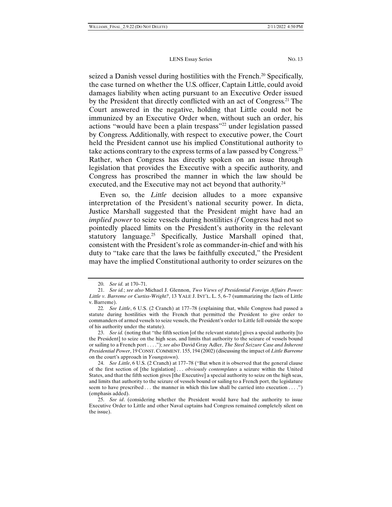seized a Danish vessel during hostilities with the French.<sup>20</sup> Specifically, the case turned on whether the U.S. officer, Captain Little, could avoid damages liability when acting pursuant to an Executive Order issued by the President that directly conflicted with an act of Congress.21 The Court answered in the negative, holding that Little could not be immunized by an Executive Order when, without such an order, his actions "would have been a plain trespass"22 under legislation passed by Congress. Additionally, with respect to executive power, the Court held the President cannot use his implied Constitutional authority to take actions contrary to the express terms of a law passed by Congress.<sup>23</sup> Rather, when Congress has directly spoken on an issue through legislation that provides the Executive with a specific authority, and Congress has proscribed the manner in which the law should be executed, and the Executive may not act beyond that authority.<sup>24</sup>

Even so, the *Little* decision alludes to a more expansive interpretation of the President's national security power. In dicta, Justice Marshall suggested that the President might have had an *implied power* to seize vessels during hostilities *if* Congress had not so pointedly placed limits on the President's authority in the relevant statutory language.<sup>25</sup> Specifically, Justice Marshall opined that, consistent with the President's role as commander-in-chief and with his duty to "take care that the laws be faithfully executed," the President may have the implied Constitutional authority to order seizures on the

 <sup>20.</sup> *See id.* at 170–71.

 <sup>21.</sup> *See id.*; *see also* Michael J. Glennon, *Two Views of Presidential Foreign Affairs Power: Little v. Barreme or Curtiss-Wright?*, 13 YALE J. INT'L. L. 5, 6–7 (summarizing the facts of Little v. Barreme).

<sup>22</sup>*. See Little*, 6 U.S. (2 Cranch) at 177–78 (explaining that, while Congress had passed a statute during hostilities with the French that permitted the President to give order to commanders of armed vessels to seize vessels, the President's order to Little fell outside the scope of his authority under the statute).

 <sup>23.</sup> *See id.* (noting that "the fifth section [of the relevant statute] gives a special authority [to the President] to seize on the high seas, and limits that authority to the seizure of vessels bound or sailing to a French port . . . ."); *see also* David Gray Adler, *The Steel Seizure Case and Inherent Presidential Power*, 19 CONST. COMMENT. 155, 194 (2002) (discussing the impact of *Little Barreme* on the court's approach in *Youngstown*).

 <sup>24.</sup> *See Little*, 6 U.S. (2 Cranch) at 177–78 ("But when it is observed that the general clause of the first section of [the legislation] . . . *obviously contemplates* a seizure within the United States, and that the fifth section gives [the Executive] a special authority to seize on the high seas, and limits that authority to the seizure of vessels bound or sailing to a French port, the legislature seem to have prescribed *. . .* the manner in which this law shall be carried into execution . . . .") (emphasis added).

 <sup>25.</sup> *See id*. (considering whether the President would have had the authority to issue Executive Order to Little and other Naval captains had Congress remained completely silent on the issue).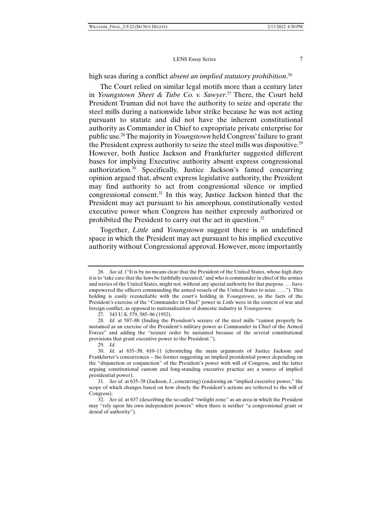high seas during a conflict *absent an implied statutory prohibition*. 26

The Court relied on similar legal motifs more than a century later in *Youngstown Sheet & Tube Co. v. Sawyer*. 27 There, the Court held President Truman did not have the authority to seize and operate the steel mills during a nationwide labor strike because he was not acting pursuant to statute and did not have the inherent constitutional authority as Commander in Chief to expropriate private enterprise for public use.28 The majority in *Youngstown* held Congress' failure to grant the President express authority to seize the steel mills was dispositive.29 However, both Justice Jackson and Frankfurter suggested different bases for implying Executive authority absent express congressional authorization.30 Specifically, Justice Jackson's famed concurring opinion argued that, absent express legislative authority, the President may find authority to act from congressional silence or implied congressional consent.31 In this way, Justice Jackson hinted that the President may act pursuant to his amorphous, constitutionally vested executive power when Congress has neither expressly authorized or prohibited the President to carry out the act in question.32

Together, *Little* and *Youngstown* suggest there is an undefined space in which the President may act pursuant to his implied executive authority without Congressional approval. However, more importantly

 <sup>26.</sup> *See id.* ("It is by no means clear that the President of the United States, whose high duty it is to 'take care that the laws be faithfully executed,' and who is commander in chief of the armies and navies of the United States, might not, without any special authority for that purpose . . . have empowered the officers commanding the armed vessels of the United States to seize . . . ."). This holding is easily reconcilable with the court's holding in *Youngstown*, as the facts of the President's exercise of the "Commander in Chief" power in *Little* were in the context of war and foreign conflict, as opposed to nationalization of domestic industry in *Youngstown*.

<sup>27</sup>*.* 343 U.S. 579, 585–86 (1952).

 <sup>28.</sup> *Id.* at 587–88 (finding the President's seizure of the steel mills "cannot properly be sustained as an exercise of the President's military power as Commander in Chief of the Armed Forces" and adding the "seizure order be sustained because of the several constitutional provisions that grant executive power to the President.").

 <sup>29.</sup> *Id.*

 <sup>30.</sup> *Id.* at 635–38; 610–11 (chronicling the main arguments of Justice Jackson and Frankfurter's concurrences – the former suggesting an implied presidential power depending on the "disjunction or conjunction" of the President's power with will of Congress, and the latter arguing constitutional custom and long-standing executive practice are a source of implied presidential power).

 <sup>31.</sup> *See id.* at 635–38 (Jackson, J., concurring) (endorsing an "implied executive power," the scope of which changes based on how closely the President's actions are tethered to the will of Congress).

 <sup>32.</sup> *See id*. at 637 (describing the so-called "twilight zone" as an area in which the President may "rely upon his own independent powers" when there is neither "a congressional grant or denial of authority").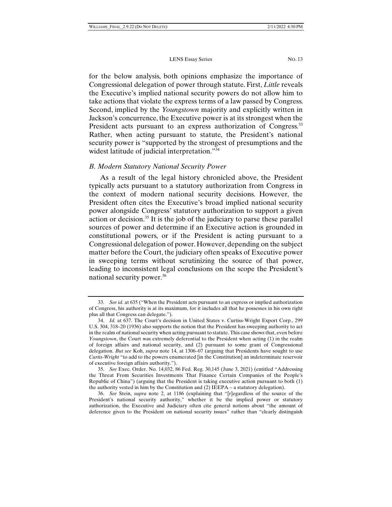for the below analysis, both opinions emphasize the importance of Congressional delegation of power through statute. First, *Little* reveals the Executive's implied national security powers do not allow him to take actions that violate the express terms of a law passed by Congress. Second, implied by the *Youngstown* majority and explicitly written in Jackson's concurrence, the Executive power is at its strongest when the President acts pursuant to an express authorization of Congress.<sup>33</sup> Rather, when acting pursuant to statute, the President's national security power is "supported by the strongest of presumptions and the widest latitude of judicial interpretation."<sup>34</sup>

#### *B. Modern Statutory National Security Power*

As a result of the legal history chronicled above, the President typically acts pursuant to a statutory authorization from Congress in the context of modern national security decisions. However, the President often cites the Executive's broad implied national security power alongside Congress' statutory authorization to support a given action or decision.<sup>35</sup> It is the job of the judiciary to parse these parallel sources of power and determine if an Executive action is grounded in constitutional powers, or if the President is acting pursuant to a Congressional delegation of power. However, depending on the subject matter before the Court, the judiciary often speaks of Executive power in sweeping terms without scrutinizing the source of that power, leading to inconsistent legal conclusions on the scope the President's national security power.36

 <sup>33.</sup> *See id.* at 635 ("When the President acts pursuant to an express or implied authorization of Congress, his authority is at its maximum, for it includes all that he possesses in his own right plus all that Congress can delegate.").

 <sup>34.</sup> *Id.* at 637. The Court's decision in United States v. Curtiss-Wright Export Corp., 299 U.S. 304, 318–20 (1936) also supports the notion that the President has sweeping authority to act in the realm of national security when acting pursuant to statute. This case shows that, even before *Youngstown*, the Court was extremely deferential to the President when acting (1) in the realm of foreign affairs and national security, and (2) pursuant to some grant of Congressional delegation. *But see* Koh, *supra* note 14, at 1306–07 (arguing that Presidents have sought to use *Curtis-Wright* "to add to the powers enumerated [in the Constitution] an indeterminate reservoir of executive foreign affairs authority.").

 <sup>35.</sup> *See* Exec. Order. No. 14,032, 86 Fed. Reg. 30,145 (June 3, 2021) (entitled "Addressing the Threat From Securities Investments That Finance Certain Companies of the People's Republic of China") (arguing that the President is taking executive action pursuant to both (1) the authority vested in him by the Constitution and (2) IEEPA – a statutory delegation).

 <sup>36.</sup> *See* Stein, *supra* note 2, at 1186 (explaining that "[r]egardless of the source of the President's national security authority," whether it be the implied power or statutory authorization, the Executive and Judiciary often cite general notions about "the amount of deference given to the President on national security issues" rather than "clearly distinguish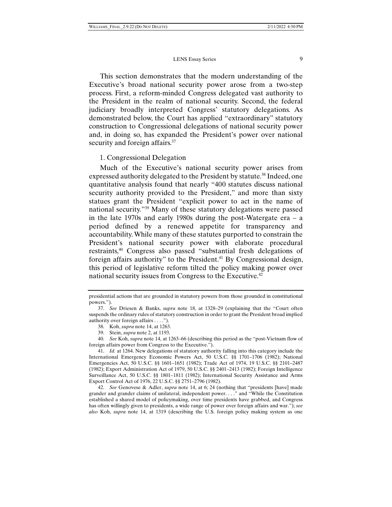#### LENS Essay Series 9

This section demonstrates that the modern understanding of the Executive's broad national security power arose from a two-step process. First, a reform-minded Congress delegated vast authority to the President in the realm of national security. Second, the federal judiciary broadly interpreted Congress' statutory delegations. As demonstrated below, the Court has applied "extraordinary" statutory construction to Congressional delegations of national security power and, in doing so, has expanded the President's power over national security and foreign affairs.<sup>37</sup>

#### 1. Congressional Delegation

Much of the Executive's national security power arises from expressed authority delegated to the President by statute.<sup>38</sup> Indeed, one quantitative analysis found that nearly "400 statutes discuss national security authority provided to the President," and more than sixty statues grant the President "explicit power to act in the name of national security."39 Many of these statutory delegations were passed in the late 1970s and early 1980s during the post-Watergate era – a period defined by a renewed appetite for transparency and accountability. While many of these statutes purported to constrain the President's national security power with elaborate procedural restraints,40 Congress also passed "substantial fresh delegations of foreign affairs authority" to the President.<sup>41</sup> By Congressional design, this period of legislative reform tilted the policy making power over national security issues from Congress to the Executive.<sup>42</sup>

39. Stein, *supra* note 2, at 1193.

 40. *See* Koh, *supra* note 14, at 1263–66 (describing this period as the "post-Vietnam flow of foreign affairs power from Congress to the Executive.").

 41. *Id.* at 1264. New delegations of statutory authority falling into this category include the International Emergency Economic Powers Act, 50 U.S.C. §§ 1701–1706 (1982); National Emergencies Act, 50 U.S.C. §§ 1601–1651 (1982); Trade Act of 1974, 19 U.S.C. §§ 2101–2487 (1982); Export Administration Act of 1979, 50 U.S.C. §§ 2401–2413 (1982); Foreign Intelligence Surveillance Act, 50 U.S.C. §§ 1801–1811 (1982); International Security Assistance and Arms Export Control Act of 1976, 22 U.S.C. §§ 2751–2796 (1982).

 42. *See* Genovese & Adler, *supra* note 14, at 6; 24 (nothing that "presidents [have] made grander and grander claims of unilateral, independent power. . . ." and "While the Constitution established a shared model of policymaking, over time presidents have grabbed, and Congress has often willingly given to presidents, a wide range of power over foreign affairs and war."); *see also* Koh, *supra* note 14, at 1319 (describing the U.S. foreign policy making system as one

presidential actions that are grounded in statutory powers from those grounded in constitutional powers.").

 <sup>37.</sup> *See* Driesen & Banks, *supra* note 18, at 1328–29 (explaining that the "Court often suspends the ordinary rules of statutory construction in order to grant the President broad implied authority over foreign affairs . . . .").

 <sup>38.</sup> Koh, *supra* note 14, at 1263.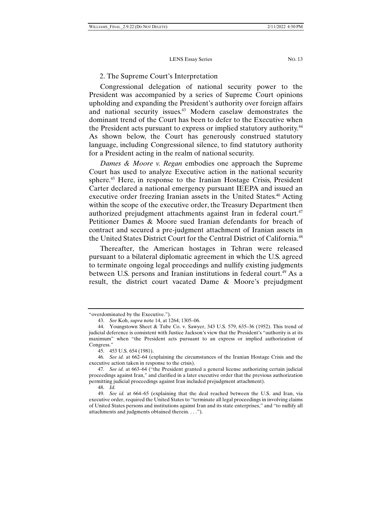#### 2. The Supreme Court's Interpretation

Congressional delegation of national security power to the President was accompanied by a series of Supreme Court opinions upholding and expanding the President's authority over foreign affairs and national security issues.<sup>43</sup> Modern caselaw demonstrates the dominant trend of the Court has been to defer to the Executive when the President acts pursuant to express or implied statutory authority.<sup>44</sup> As shown below, the Court has generously construed statutory language, including Congressional silence, to find statutory authority for a President acting in the realm of national security.

*Dames & Moore v. Regan* embodies one approach the Supreme Court has used to analyze Executive action in the national security sphere.45 Here, in response to the Iranian Hostage Crisis, President Carter declared a national emergency pursuant IEEPA and issued an executive order freezing Iranian assets in the United States.<sup>46</sup> Acting within the scope of the executive order, the Treasury Department then authorized prejudgment attachments against Iran in federal court.<sup>47</sup> Petitioner Dames & Moore sued Iranian defendants for breach of contract and secured a pre-judgment attachment of Iranian assets in the United States District Court for the Central District of California.<sup>48</sup>

Thereafter, the American hostages in Tehran were released pursuant to a bilateral diplomatic agreement in which the U.S. agreed to terminate ongoing legal proceedings and nullify existing judgments between U.S. persons and Iranian institutions in federal court.<sup>49</sup> As a result, the district court vacated Dame & Moore's prejudgment

48. *Id.*

<sup>&</sup>quot;overdominated by the Executive.").

 <sup>43.</sup> *See* Koh, *supra* note 14, at 1264; 1305–06.

 <sup>44.</sup> Youngstown Sheet & Tube Co. v. Sawyer, 343 U.S. 579, 635–36 (1952). This trend of judicial deference is consistent with Justice Jackson's view that the President's "authority is at its maximum" when "the President acts pursuant to an express or implied authorization of Congress."

 <sup>45. 453</sup> U.S. 654 (1981).

<sup>46</sup>*. See id.* at 662–64 (explaining the circumstances of the Iranian Hostage Crisis and the executive action taken in response to the crisis).

 <sup>47.</sup> *See id.* at 663–64 ("the President granted a general license authorizing certain judicial proceedings against Iran," and clarified in a later executive order that the previous authorization permitting judicial proceedings against Iran included prejudgment attachment).

 <sup>49.</sup> *See id.* at 664–65 (explaining that the deal reached between the U.S. and Iran, via executive order, required the United States to "terminate all legal proceedings in involving claims of United States persons and institutions against Iran and its state enterprises," and "to nullify all attachments and judgments obtained therein. . . .").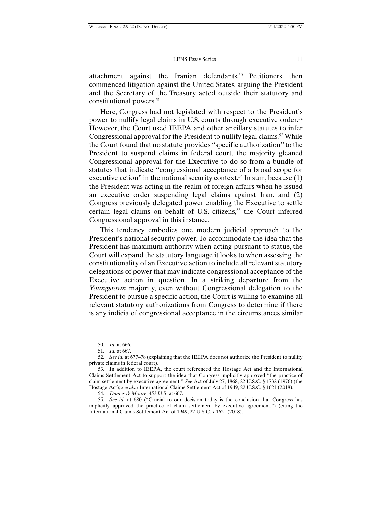attachment against the Iranian defendants.50 Petitioners then commenced litigation against the United States, arguing the President and the Secretary of the Treasury acted outside their statutory and constitutional powers.<sup>51</sup>

Here, Congress had not legislated with respect to the President's power to nullify legal claims in U.S. courts through executive order.<sup>52</sup> However, the Court used IEEPA and other ancillary statutes to infer Congressional approval for the President to nullify legal claims.<sup>53</sup> While the Court found that no statute provides "specific authorization" to the President to suspend claims in federal court, the majority gleaned Congressional approval for the Executive to do so from a bundle of statutes that indicate "congressional acceptance of a broad scope for executive action" in the national security context.<sup>54</sup> In sum, because  $(1)$ the President was acting in the realm of foreign affairs when he issued an executive order suspending legal claims against Iran, and (2) Congress previously delegated power enabling the Executive to settle certain legal claims on behalf of U.S. citizens,<sup>55</sup> the Court inferred Congressional approval in this instance.

This tendency embodies one modern judicial approach to the President's national security power. To accommodate the idea that the President has maximum authority when acting pursuant to statue, the Court will expand the statutory language it looks to when assessing the constitutionality of an Executive action to include all relevant statutory delegations of power that may indicate congressional acceptance of the Executive action in question. In a striking departure from the *Youngstown* majority, even without Congressional delegation to the President to pursue a specific action, the Court is willing to examine all relevant statutory authorizations from Congress to determine if there is any indicia of congressional acceptance in the circumstances similar

 <sup>50.</sup> *Id.* at 666.

 <sup>51.</sup> *Id.* at 667.

 <sup>52.</sup> *See id.* at 677–78 (explaining that the IEEPA does not authorize the President to nullify private claims in federal court).

 <sup>53.</sup> In addition to IEEPA, the court referenced the Hostage Act and the International Claims Settlement Act to support the idea that Congress implicitly approved "the practice of claim settlement by executive agreement." *See* Act of July 27, 1868, 22 U.S.C. § 1732 (1976) (the Hostage Act); *see also* International Claims Settlement Act of 1949, 22 U.S.C. § 1621 (2018).

 <sup>54.</sup> *Dames & Moore*, 453 U.S. at 667.

 <sup>55.</sup> *See id.* at 680 ("Crucial to our decision today is the conclusion that Congress has implicitly approved the practice of claim settlement by executive agreement.") (citing the International Claims Settlement Act of 1949, 22 U.S.C. § 1621 (2018).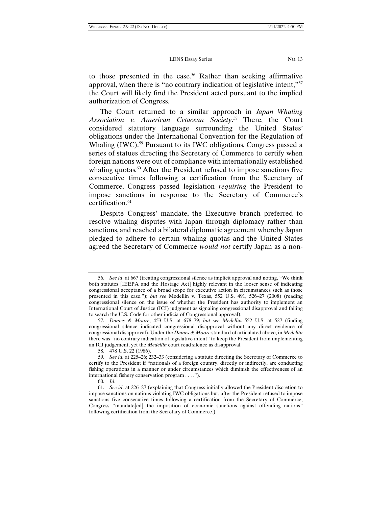to those presented in the case.<sup>56</sup> Rather than seeking affirmative approval, when there is "no contrary indication of legislative intent,"57 the Court will likely find the President acted pursuant to the implied authorization of Congress.

The Court returned to a similar approach in *Japan Whaling Association v. American Cetacean Society*. 58 There, the Court considered statutory language surrounding the United States' obligations under the International Convention for the Regulation of Whaling (IWC).<sup>59</sup> Pursuant to its IWC obligations, Congress passed a series of statues directing the Secretary of Commerce to certify when foreign nations were out of compliance with internationally established whaling quotas.<sup>60</sup> After the President refused to impose sanctions five consecutive times following a certification from the Secretary of Commerce, Congress passed legislation *requiring* the President to impose sanctions in response to the Secretary of Commerce's certification.<sup>61</sup>

Despite Congress' mandate, the Executive branch preferred to resolve whaling disputes with Japan through diplomacy rather than sanctions, and reached a bilateral diplomatic agreement whereby Japan pledged to adhere to certain whaling quotas and the United States agreed the Secretary of Commerce *would not* certify Japan as a non-

 <sup>56.</sup> *See id*. at 667 (treating congressional silence as implicit approval and noting, "We think both statutes [IEEPA and the Hostage Act] highly relevant in the looser sense of indicating congressional acceptance of a broad scope for executive action in circumstances such as those presented in this case."); *but see* Medellín v. Texas, 552 U.S. 491, 526–27 (2008) (reading congressional silence on the issue of whether the President has authority to implement an International Court of Justice (ICJ) judgment as signaling congressional disapproval and failing to search the U.S. Code for other indicia of Congressional approval).

 <sup>57.</sup> *Dames & Moore*, 453 U.S. at 678–79; *but see Medellín* 552 U.S. at 527 (finding congressional silence indicated congressional disapproval without any direct evidence of congressional disapproval). Under the *Dames & Moore* standard of articulated above, in *Medellín* there was "no contrary indication of legislative intent" to keep the President from implementing an ICJ judgement, yet the *Medellín* court read silence as disapproval.

 <sup>58. 478</sup> U.S. 22 (1986).

 <sup>59.</sup> *See id.* at 225–26; 232–33 (considering a statute directing the Secretary of Commerce to certify to the President if "nationals of a foreign country, directly or indirectly, are conducting fishing operations in a manner or under circumstances which diminish the effectiveness of an international fishery conservation program . . . .").

 <sup>60.</sup> *Id*.

 <sup>61.</sup> *See id*. at 226–27 (explaining that Congress initially allowed the President discretion to impose sanctions on nations violating IWC obligations but, after the President refused to impose sanctions five consecutive times following a certification from the Secretary of Commerce, Congress "mandate[ed] the imposition of economic sanctions against offending nations" following certification from the Secretary of Commerce.).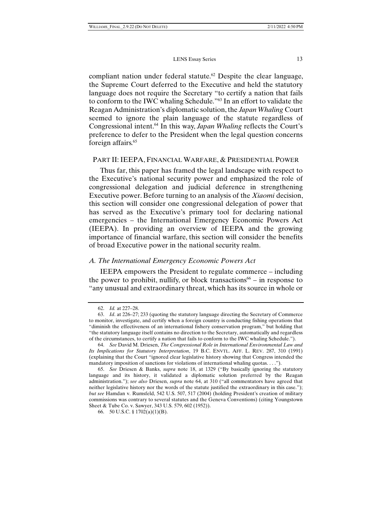compliant nation under federal statute.<sup>62</sup> Despite the clear language, the Supreme Court deferred to the Executive and held the statutory language does not require the Secretary "to certify a nation that fails to conform to the IWC whaling Schedule."63 In an effort to validate the Reagan Administration's diplomatic solution, the *Japan Whaling* Court seemed to ignore the plain language of the statute regardless of Congressional intent.64 In this way, *Japan Whaling* reflects the Court's preference to defer to the President when the legal question concerns foreign affairs.<sup>65</sup>

#### PART II: IEEPA, FINANCIAL WARFARE, & PRESIDENTIAL POWER

Thus far, this paper has framed the legal landscape with respect to the Executive's national security power and emphasized the role of congressional delegation and judicial deference in strengthening Executive power. Before turning to an analysis of the *Xiaomi* decision, this section will consider one congressional delegation of power that has served as the Executive's primary tool for declaring national emergencies – the International Emergency Economic Powers Act (IEEPA). In providing an overview of IEEPA and the growing importance of financial warfare, this section will consider the benefits of broad Executive power in the national security realm.

#### *A. The International Emergency Economic Powers Act*

IEEPA empowers the President to regulate commerce – including the power to prohibit, nullify, or block transactions<sup>66</sup> – in response to "any unusual and extraordinary threat, which has its source in whole or

 <sup>62.</sup> *Id.* at 227–28.

 <sup>63.</sup> *Id*. at 226–27; 233 (quoting the statutory language directing the Secretary of Commerce to monitor, investigate, and certify when a foreign country is conducting fishing operations that "diminish the effectiveness of an international fishery conservation program," but holding that "the statutory language itself contains no direction to the Secretary, automatically and regardless of the circumstances, to certify a nation that fails to conform to the IWC whaling Schedule.").

 <sup>64.</sup> *See* David M. Driesen, *The Congressional Role in International Environmental Law and Its Implications for Statutory Interpretation*, 19 B.C. ENVTL. AFF. L. REV. 287, 310 (1991) (explaining that the Court "ignored clear legislative history showing that Congress intended the mandatory imposition of sanctions for violations of international whaling quotas. . . .").

 <sup>65.</sup> *See* Driesen & Banks, *supra* note 18, at 1329 ("By basically ignoring the statutory language and its history, it validated a diplomatic solution preferred by the Reagan administration."); *see also* Driesen, *supra* note 64, at 310 ("all commentators have agreed that neither legislative history nor the words of the statute justified the extraordinary in this case."); *but see* Hamdan v. Rumsfeld, 542 U.S. 507, 517 (2004) (holding President's creation of military commissions was contrary to several statutes and the Geneva Conventions) (citing Youngstown Sheet & Tube Co. v. Sawyer, 343 U.S. 579, 602 (1952)).

 <sup>66. 50</sup> U.S.C. § 1702(a)(1)(B).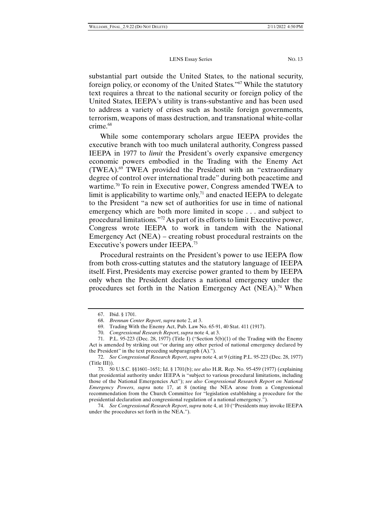substantial part outside the United States, to the national security, foreign policy, or economy of the United States."67 While the statutory text requires a threat to the national security or foreign policy of the United States, IEEPA's utility is trans-substantive and has been used to address a variety of crises such as hostile foreign governments, terrorism, weapons of mass destruction, and transnational white-collar crime.<sup>68</sup>

While some contemporary scholars argue IEEPA provides the executive branch with too much unilateral authority, Congress passed IEEPA in 1977 to *limit* the President's overly expansive emergency economic powers embodied in the Trading with the Enemy Act (TWEA).69 TWEA provided the President with an "extraordinary degree of control over international trade" during both peacetime and wartime.<sup>70</sup> To rein in Executive power, Congress amended TWEA to limit is applicability to wartime only, $71$  and enacted IEEPA to delegate to the President "a new set of authorities for use in time of national emergency which are both more limited in scope . . . and subject to procedural limitations."72 As part of its efforts to limit Executive power, Congress wrote IEEPA to work in tandem with the National Emergency Act (NEA) – creating robust procedural restraints on the Executive's powers under IEEPA.73

Procedural restraints on the President's power to use IEEPA flow from both cross-cutting statutes and the statutory language of IEEPA itself. First, Presidents may exercise power granted to them by IEEPA only when the President declares a national emergency under the procedures set forth in the Nation Emergency Act (NEA).<sup>74</sup> When

 <sup>67.</sup> Ibid. § 1701.

 <sup>68.</sup> *Brennan Center Report*, *supra* note 2, at 3.

 <sup>69.</sup> Trading With the Enemy Act, Pub. Law No. 65-91, 40 Stat. 411 (1917).

 <sup>70.</sup> *Congressional Research Report*, *supra* note 4, at 3.

 <sup>71.</sup> P.L. 95-223 (Dec. 28, 1977) (Title I) ("Section 5(b)(1) of the Trading with the Enemy Act is amended by striking out "or during any other period of national emergency declared by the President" in the text preceding subparagraph (A).").

 <sup>72.</sup> *See Congressional Research Report*, *supra* note 4, at 9 (citing P.L. 95-223 (Dec. 28, 1977) (Title III)).

 <sup>73. 50</sup> U.S.C. §§1601–1651; Id. § 1701(b); *see also* H.R. Rep. No. 95-459 (1977) (explaining that presidential authority under IEEPA is "subject to various procedural limitations, including those of the National Emergencies Act"); *see also Congressional Research Report on National Emergency Powers*, *supra* note 17, at 8 (noting the NEA arose from a Congressional recommendation from the Church Committee for "legislation establishing a procedure for the presidential declaration and congressional regulation of a national emergency.").

 <sup>74.</sup> *See Congressional Research Report*, *supra* note 4, at 10 ("Presidents may invoke IEEPA under the procedures set forth in the NEA.").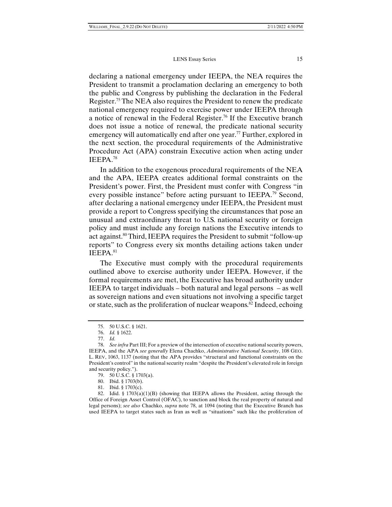declaring a national emergency under IEEPA, the NEA requires the President to transmit a proclamation declaring an emergency to both the public and Congress by publishing the declaration in the Federal Register.75 The NEA also requires the President to renew the predicate national emergency required to exercise power under IEEPA through a notice of renewal in the Federal Register.76 If the Executive branch does not issue a notice of renewal, the predicate national security emergency will automatically end after one year.<sup>77</sup> Further, explored in the next section, the procedural requirements of the Administrative Procedure Act (APA) constrain Executive action when acting under IEEPA.78

In addition to the exogenous procedural requirements of the NEA and the APA, IEEPA creates additional formal constraints on the President's power. First, the President must confer with Congress "in every possible instance" before acting pursuant to IEEPA.79 Second, after declaring a national emergency under IEEPA, the President must provide a report to Congress specifying the circumstances that pose an unusual and extraordinary threat to U.S. national security or foreign policy and must include any foreign nations the Executive intends to act against.80 Third, IEEPA requires the President to submit "follow-up reports" to Congress every six months detailing actions taken under IEEPA.81

The Executive must comply with the procedural requirements outlined above to exercise authority under IEEPA. However, if the formal requirements are met, the Executive has broad authority under IEEPA to target individuals – both natural and legal persons – as well as sovereign nations and even situations not involving a specific target or state, such as the proliferation of nuclear weapons.<sup>82</sup> Indeed, echoing

81. Ibid. § 1703(c).

 <sup>75. 50</sup> U.S.C. § 1621.

 <sup>76.</sup> *Id.* § 1622.

 <sup>77.</sup> *Id.* 

 <sup>78.</sup> *See infra* Part III; For a preview of the intersection of executive national security powers, IEEPA, and the APA *see generally* Elena Chachko, *Administrative National Security*, 108 GEO. L. REV, 1063, 1137 (noting that the APA provides "structural and functional constraints on the President's control" in the national security realm "despite the President's elevated role in foreign and security policy.").

 <sup>79. 50</sup> U.S.C. § 1703(a).

 <sup>80.</sup> Ibid. § 1703(b).

<sup>82.</sup> Idid. §  $1703(a)(1)(B)$  (showing that IEEPA allows the President, acting through the Office of Foreign Asset Control (OFAC), to sanction and block the real property of natural and legal persons); *see also* Chachko, *supra* note 78, at 1094 (noting that the Executive Branch has used IEEPA to target states such as Iran as well as "situations" such like the proliferation of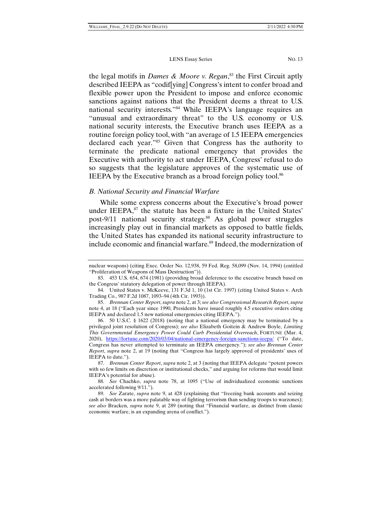the legal motifs in *Dames & Moore v. Regan*, 83 the First Circuit aptly described IEEPA as "codif[ying] Congress's intent to confer broad and flexible power upon the President to impose and enforce economic sanctions against nations that the President deems a threat to U.S. national security interests."84 While IEEPA's language requires an "unusual and extraordinary threat" to the U.S. economy or U.S. national security interests, the Executive branch uses IEEPA as a routine foreign policy tool, with "an average of 1.5 IEEPA emergencies declared each year."85 Given that Congress has the authority to terminate the predicate national emergency that provides the Executive with authority to act under IEEPA, Congress' refusal to do so suggests that the legislature approves of the systematic use of IEEPA by the Executive branch as a broad foreign policy tool.<sup>86</sup>

#### *B. National Security and Financial Warfare*

While some express concerns about the Executive's broad power under IEEPA,<sup>87</sup> the statute has been a fixture in the United States' post-9/11 national security strategy.<sup>88</sup> As global power struggles increasingly play out in financial markets as opposed to battle fields, the United States has expanded its national security infrastructure to include economic and financial warfare.<sup>89</sup> Indeed, the modernization of

 87. *Brennan Center Report*, *supra* note 2, at 3 (noting that IEEPA delegate "potent powers with so few limits on discretion or institutional checks," and arguing for reforms that would limit IEEPA's potential for abuse).

nuclear weapons) (citing Exec. Order No. 12,938, 59 Fed. Reg. 58,099 (Nov. 14, 1994) (entitled "Proliferation of Weapons of Mass Destruction")).

 <sup>83. 453</sup> U.S. 654, 674 (1981) (providing broad deference to the executive branch based on the Congress' statutory delegation of power through IEEPA).

 <sup>84.</sup> United States v. McKeeve, 131 F.3d 1, 10 (1st Cir. 1997) (citing United States v. Arch Trading Co., 987 F.2d 1087, 1093–94 (4th Cir. 1993)).

 <sup>85.</sup> *Brennan Center Report*, *supra* note 2, at 3; *see also Congressional Research Report*, *supra* note 4, at 18 ("Each year since 1990, Presidents have issued roughly 4.5 executive orders citing IEEPA and declared 1.5 new national emergencies citing IEEPA.").

 <sup>86. 50</sup> U.S.C. § 1622 (2018) (noting that a national emergency may be terminated by a privileged joint resolution of Congress); *see also* Elizabeth Goitein & Andrew Boyle, *Limiting This Governmental Emergency Power Could Curb Presidential Overreach*, FORTUNE (Mar. 4, 2020), https://fortune.com/2020/03/04/national-emergency-foreign-sanctions-ieepa/ ("To date, Congress has never attempted to terminate an IEEPA emergency."); *see also Brennan Center Report*, *supra* note 2, at 19 (noting that "Congress has largely approved of presidents' uses of IEEPA to date.").

<sup>88</sup>*. See* Chachko, *supra* note 78, at 1095 ("Use of individualized economic sanctions accelerated following 9/11.").

 <sup>89.</sup> *See* Zarate, *supra* note 9, at 428 (explaining that "freezing bank accounts and seizing cash at borders was a more palatable way of fighting terrorism than sending troops to warzones); *see also* Bracken, *supra* note 9, at 289 (noting that "Financial warfare, as distinct from classic economic warfare, is an expanding arena of conflict.").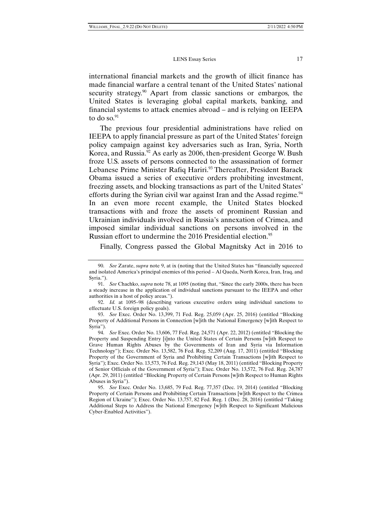international financial markets and the growth of illicit finance has made financial warfare a central tenant of the United States' national security strategy.<sup>90</sup> Apart from classic sanctions or embargos, the United States is leveraging global capital markets, banking, and financial systems to attack enemies abroad – and is relying on IEEPA to do so.91

The previous four presidential administrations have relied on IEEPA to apply financial pressure as part of the United States' foreign policy campaign against key adversaries such as Iran, Syria, North Korea, and Russia.<sup>92</sup> As early as 2006, then-president George W. Bush froze U.S. assets of persons connected to the assassination of former Lebanese Prime Minister Rafiq Hariri.<sup>93</sup> Thereafter, President Barack Obama issued a series of executive orders prohibiting investment, freezing assets, and blocking transactions as part of the United States' efforts during the Syrian civil war against Iran and the Assad regime.<sup>94</sup> In an even more recent example, the United States blocked transactions with and froze the assets of prominent Russian and Ukrainian individuals involved in Russia's annexation of Crimea, and imposed similar individual sanctions on persons involved in the Russian effort to undermine the 2016 Presidential election.<sup>95</sup>

Finally, Congress passed the Global Magnitsky Act in 2016 to

 <sup>90.</sup> *See* Zarate, *supra* note 9, at ix (noting that the United States has "financially squeezed and isolated America's principal enemies of this period – Al Qaeda, North Korea, Iran, Iraq, and Syria.").

 <sup>91.</sup> *See* Chachko, *supra* note 78, at 1095 (noting that, "Since the early 2000s, there has been a steady increase in the application of individual sanctions pursuant to the IEEPA and other authorities in a host of policy areas.").

 <sup>92.</sup> *Id.* at 1095–98 (describing various executive orders using individual sanctions to effectuate U.S. foreign policy goals).

 <sup>93.</sup> *See* Exec. Order No. 13,399, 71 Fed. Reg. 25,059 (Apr. 25, 2016) (entitled "Blocking Property of Additional Persons in Connection [w]ith the National Emergency [w]ith Respect to Syria").

 <sup>94.</sup> *See* Exec. Order No. 13,606, 77 Fed. Reg. 24,571 (Apr. 22, 2012) (entitled "Blocking the Property and Suspending Entry [i]nto the United States of Certain Persons [w]ith Respect to Grave Human Rights Abuses by the Governments of Iran and Syria via Information Technology"); Exec. Order No. 13,582, 76 Fed. Reg. 52,209 (Aug. 17, 2011) (entitled "Blocking Property of the Government of Syria and Prohibiting Certain Transactions [w]ith Respect to Syria"); Exec. Order No. 13,573, 76 Fed. Reg. 29,143 (May 18, 2011) (entitled "Blocking Property of Senior Officials of the Government of Syria"); Exec. Order No. 13,572, 76 Fed. Reg. 24,787 (Apr. 29, 2011) (entitled "Blocking Property of Certain Persons [w]ith Respect to Human Rights Abuses in Syria").

 <sup>95.</sup> *See* Exec. Order No. 13,685, 79 Fed. Reg. 77,357 (Dec. 19, 2014) (entitled "Blocking Property of Certain Persons and Prohibiting Certain Transactions [w]ith Respect to the Crimea Region of Ukraine"); Exec. Order No. 13,757, 82 Fed. Reg. 1 (Dec. 28, 2016) (entitled "Taking Additional Steps to Address the National Emergency [w]ith Respect to Significant Malicious Cyber-Enabled Activities").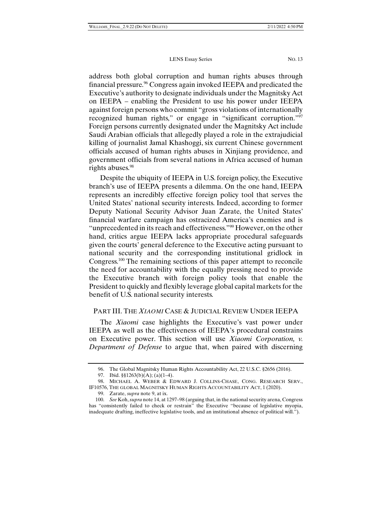address both global corruption and human rights abuses through financial pressure.<sup>96</sup> Congress again invoked IEEPA and predicated the Executive's authority to designate individuals under the Magnitsky Act on IEEPA – enabling the President to use his power under IEEPA against foreign persons who commit "gross violations of internationally recognized human rights," or engage in "significant corruption."97 Foreign persons currently designated under the Magnitsky Act include Saudi Arabian officials that allegedly played a role in the extrajudicial killing of journalist Jamal Khashoggi, six current Chinese government officials accused of human rights abuses in Xinjiang providence, and government officials from several nations in Africa accused of human rights abuses.<sup>98</sup>

Despite the ubiquity of IEEPA in U.S. foreign policy, the Executive branch's use of IEEPA presents a dilemma. On the one hand, IEEPA represents an incredibly effective foreign policy tool that serves the United States' national security interests. Indeed, according to former Deputy National Security Advisor Juan Zarate, the United States' financial warfare campaign has ostracized America's enemies and is "unprecedented in its reach and effectiveness."99 However, on the other hand, critics argue IEEPA lacks appropriate procedural safeguards given the courts' general deference to the Executive acting pursuant to national security and the corresponding institutional gridlock in Congress.100 The remaining sections of this paper attempt to reconcile the need for accountability with the equally pressing need to provide the Executive branch with foreign policy tools that enable the President to quickly and flexibly leverage global capital markets for the benefit of U.S. national security interests.

#### PART III. THE *XIAOMI* CASE & JUDICIAL REVIEW UNDER IEEPA

The *Xiaomi* case highlights the Executive's vast power under IEEPA as well as the effectiveness of IEEPA's procedural constrains on Executive power. This section will use *Xiaomi Corporation, v. Department of Defense* to argue that, when paired with discerning

 <sup>96.</sup> The Global Magnitsky Human Rights Accountability Act, 22 U.S.C. §2656 (2016).

<sup>97.</sup> Ibid. §§1263(b)(A); (a)(1–4).

 <sup>98.</sup> MICHAEL A. WEBER & EDWARD J. COLLINS-CHASE, CONG. RESEARCH SERV., IF10576, THE GLOBAL MAGNITSKY HUMAN RIGHTS ACCOUNTABILITY ACT, 1 (2020).

 <sup>99.</sup> Zarate, *supra* note 9, at ix.

 <sup>100.</sup> *See* Koh, *supra* note 14, at 1297–98 (arguing that, in the national security arena, Congress has "consistently failed to check or restrain" the Executive "because of legislative myopia, inadequate drafting, ineffective legislative tools, and an institutional absence of political will.").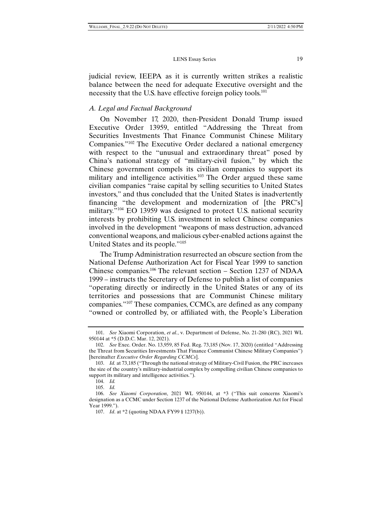judicial review, IEEPA as it is currently written strikes a realistic balance between the need for adequate Executive oversight and the necessity that the U.S. have effective foreign policy tools.<sup>101</sup>

#### *A. Legal and Factual Background*

On November 17, 2020, then-President Donald Trump issued Executive Order 13959, entitled "Addressing the Threat from Securities Investments That Finance Communist Chinese Military Companies."102 The Executive Order declared a national emergency with respect to the "unusual and extraordinary threat" posed by China's national strategy of "military-civil fusion," by which the Chinese government compels its civilian companies to support its military and intelligence activities.<sup>103</sup> The Order argued these same civilian companies "raise capital by selling securities to United States investors," and thus concluded that the United States is inadvertently financing "the development and modernization of [the PRC's] military."104 EO 13959 was designed to protect U.S. national security interests by prohibiting U.S. investment in select Chinese companies involved in the development "weapons of mass destruction, advanced conventional weapons, and malicious cyber-enabled actions against the United States and its people."105

The Trump Administration resurrected an obscure section from the National Defense Authorization Act for Fiscal Year 1999 to sanction Chinese companies.106 The relevant section – Section 1237 of NDAA 1999 – instructs the Secretary of Defense to publish a list of companies "operating directly or indirectly in the United States or any of its territories and possessions that are Communist Chinese military companies."107 These companies, CCMCs, are defined as any company "owned or controlled by, or affiliated with, the People's Liberation

 <sup>101.</sup> *See* Xiaomi Corporation, *et al.*, v. Department of Defense, No. 21-280 (RC), 2021 WL 950144 at \*5 (D.D.C. Mar. 12, 2021).

 <sup>102.</sup> *See* Exec. Order. No. 13,959, 85 Fed. Reg. 73,185 (Nov. 17, 2020) (entitled "Addressing the Threat from Securities Investments That Finance Communist Chinese Military Companies") [hereinafter *Executive Order Regarding CCMCs*].

 <sup>103.</sup> *Id.* at 73,185 ("Through the national strategy of Military-Civil Fusion, the PRC increases the size of the country's military-industrial complex by compelling civilian Chinese companies to support its military and intelligence activities.").

 <sup>104.</sup> *Id.* 105. *Id.* 

 <sup>106.</sup> *See Xiaomi Corporation*, 2021 WL 950144, at \*3 ("This suit concerns Xiaomi's designation as a CCMC under Section 1237 of the National Defense Authorization Act for Fiscal Year 1999.").

 <sup>107.</sup> *Id*. at \*2 (quoting NDAA FY99 § 1237(b)).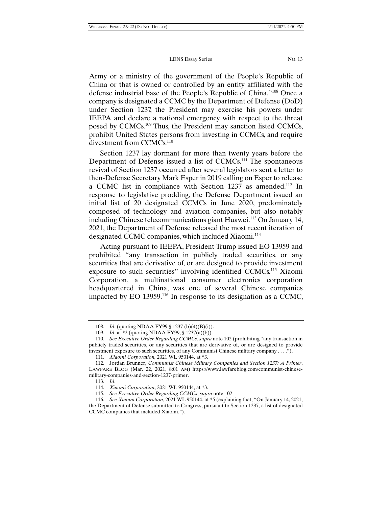Army or a ministry of the government of the People's Republic of China or that is owned or controlled by an entity affiliated with the defense industrial base of the People's Republic of China."108 Once a company is designated a CCMC by the Department of Defense (DoD) under Section 1237, the President may exercise his powers under IEEPA and declare a national emergency with respect to the threat posed by CCMCs.109 Thus, the President may sanction listed CCMCs, prohibit United States persons from investing in CCMCs, and require divestment from CCMCs.<sup>110</sup>

Section 1237 lay dormant for more than twenty years before the Department of Defense issued a list of CCMCs.<sup>111</sup> The spontaneous revival of Section 1237 occurred after several legislators sent a letter to then-Defense Secretary Mark Esper in 2019 calling on Esper to release a CCMC list in compliance with Section 1237 as amended.<sup>112</sup> In response to legislative prodding, the Defense Department issued an initial list of 20 designated CCMCs in June 2020, predominately composed of technology and aviation companies, but also notably including Chinese telecommunications giant Huawei.<sup>113</sup> On January 14, 2021, the Department of Defense released the most recent iteration of designated CCMC companies, which included Xiaomi.<sup>114</sup>

Acting pursuant to IEEPA, President Trump issued EO 13959 and prohibited "any transaction in publicly traded securities, or any securities that are derivative of, or are designed to provide investment exposure to such securities" involving identified CCMCs.115 Xiaomi Corporation, a multinational consumer electronics corporation headquartered in China, was one of several Chinese companies impacted by EO 13959.116 In response to its designation as a CCMC,

 <sup>108.</sup> *Id*. (quoting NDAA FY99 § 1237 (b)(4)(B)(i)).

 <sup>109.</sup> *Id*. at \*2 (quoting NDAA FY99, § 1237(a)(b)).

 <sup>110.</sup> *See Executive Order Regarding CCMCs*, *supra* note 102 (prohibiting "any transaction in publicly traded securities, or any securities that are derivative of, or are designed to provide investment exposure to such securities, of any Communist Chinese military company . . . .").

 <sup>111.</sup> *Xiaomi Corporation,* 2021 WL 950144, at \*3.

 <sup>112.</sup> Jordan Brunner, *Communist Chinese Military Companies and Section 1237: A Primer*, LAWFARE BLOG (Mar. 22, 2021, 8:01 AM) https://www.lawfareblog.com/communist-chinesemilitary-companies-and-section-1237-primer.

 <sup>113.</sup> *Id*.

 <sup>114.</sup> *Xiaomi Corporation*, 2021 WL 950144, at \*3.

 <sup>115.</sup> *See Executive Order Regarding CCMCs*, *supra* note 102.

 <sup>116.</sup> *See Xiaomi Corporation*, 2021 WL 950144, at \*5 (explaining that, "On January 14, 2021, the Department of Defense submitted to Congress, pursuant to Section 1237, a list of designated CCMC companies that included Xiaomi.").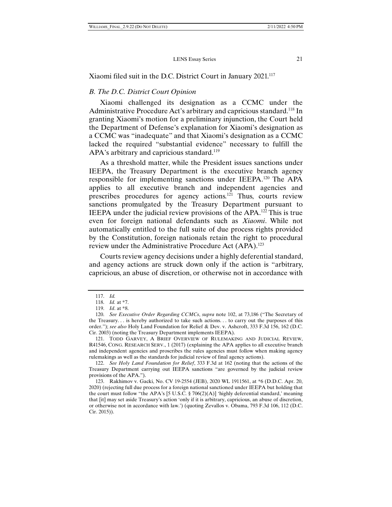Xiaomi filed suit in the D.C. District Court in January 2021.<sup>117</sup>

#### *B. The D.C. District Court Opinion*

Xiaomi challenged its designation as a CCMC under the Administrative Procedure Act's arbitrary and capricious standard.118 In granting Xiaomi's motion for a preliminary injunction, the Court held the Department of Defense's explanation for Xiaomi's designation as a CCMC was "inadequate" and that Xiaomi's designation as a CCMC lacked the required "substantial evidence" necessary to fulfill the APA's arbitrary and capricious standard.<sup>119</sup>

As a threshold matter, while the President issues sanctions under IEEPA, the Treasury Department is the executive branch agency responsible for implementing sanctions under IEEPA.120 The APA applies to all executive branch and independent agencies and prescribes procedures for agency actions.121 Thus, courts review sanctions promulgated by the Treasury Department pursuant to IEEPA under the judicial review provisions of the APA.122 This is true even for foreign national defendants such as *Xiaomi*. While not automatically entitled to the full suite of due process rights provided by the Constitution, foreign nationals retain the right to procedural review under the Administrative Procedure Act (APA).<sup>123</sup>

Courts review agency decisions under a highly deferential standard, and agency actions are struck down only if the action is "arbitrary, capricious, an abuse of discretion, or otherwise not in accordance with

 122. *See Holy Land Foundation for Relief*, 333 F.3d at 162 (noting that the actions of the Treasury Department carrying out IEEPA sanctions "are governed by the judicial review provisions of the APA.").

 <sup>117.</sup> *Id.*

 <sup>118.</sup> *Id.* at \*7.

 <sup>119.</sup> *Id*. at \*8.

 <sup>120.</sup> *See Executive Order Regarding CCMCs*, *supra* note 102, at 73,186 ("The Secretary of the Treasury. . . is hereby authorized to take such actions. . . to carry out the purposes of this order."); *see also* Holy Land Foundation for Relief & Dev. v. Ashcroft, 333 F.3d 156, 162 (D.C. Cir. 2003) (noting the Treasury Department implements IEEPA).

 <sup>121.</sup> TODD GARVEY, A BRIEF OVERVIEW OF RULEMAKING AND JUDICIAL REVIEW, R41546, CONG. RESEARCH SERV., 1 (2017) (explaining the APA applies to all executive branch and independent agencies and proscribes the rules agencies must follow when making agency rulemakings as well as the standards for judicial review of final agency actions).

 <sup>123.</sup> Rakhimov v. Gacki, No. CV 19-2554 (JEB), 2020 WL 1911561, at \*6 (D.D.C. Apr. 20, 2020) (rejecting full due process for a foreign national sanctioned under IEEPA but holding that the court must follow "the APA's [5 U.S.C. § 706(2)(A)] 'highly deferential standard,' meaning that [it] may set aside Treasury's action 'only if it is arbitrary, capricious, an abuse of discretion, or otherwise not in accordance with law.') (quoting Zevallos v. Obama, 793 F.3d 106, 112 (D.C. Cir. 2015)).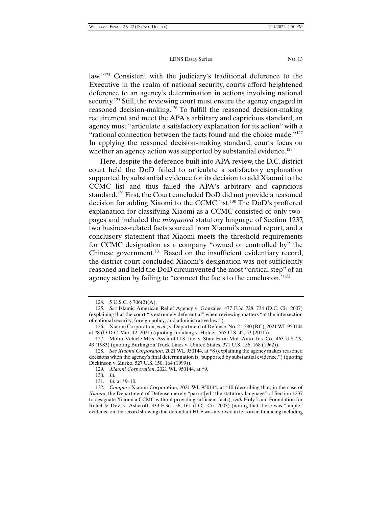law."<sup>124</sup> Consistent with the judiciary's traditional deference to the Executive in the realm of national security, courts afford heightened deference to an agency's determination in actions involving national security.<sup>125</sup> Still, the reviewing court must ensure the agency engaged in reasoned decision-making.126 To fulfill the reasoned decision-making requirement and meet the APA's arbitrary and capricious standard, an agency must "articulate a satisfactory explanation for its action" with a "rational connection between the facts found and the choice made."127 In applying the reasoned decision-making standard, courts focus on whether an agency action was supported by substantial evidence.<sup>128</sup>

Here, despite the deference built into APA review, the D.C. district court held the DoD failed to articulate a satisfactory explanation supported by substantial evidence for its decision to add Xiaomi to the CCMC list and thus failed the APA's arbitrary and capricious standard.129 First, the Court concluded DoD did not provide a reasoned decision for adding Xiaomi to the CCMC list.130 The DoD's proffered explanation for classifying Xiaomi as a CCMC consisted of only twopages and included the *misquoted* statutory language of Section 1237, two business-related facts sourced from Xiaomi's annual report, and a conclusory statement that Xiaomi meets the threshold requirements for CCMC designation as a company "owned or controlled by" the Chinese government.<sup>131</sup> Based on the insufficient evidentiary record, the district court concluded Xiaomi's designation was not sufficiently reasoned and held the DoD circumvented the most "critical step" of an agency action by failing to "connect the facts to the conclusion."132

 <sup>124. 5</sup> U.S.C. § 706(2)(A).

 <sup>125.</sup> *See* Islamic American Relief Agency v. Gonzales, 477 F.3d 728, 734 (D.C. Cir. 2007) (explaining that the court "is extremely deferential" when reviewing matters "at the intersection of national security, foreign policy, and administrative law.").

 <sup>126.</sup> Xiaomi Corporation, *et al.*, v. Department of Defense, No. 21-280 (RC), 2021 WL 950144 at \*8 (D.D.C. Mar. 12, 2021) (quoting Judulang v. Holder, 565 U.S. 42, 53 (2011)).

 <sup>127.</sup> Motor Vehicle Mfrs. Ass'n of U.S. Inc. v. State Farm Mut. Auto. Ins. Co., 463 U.S. 29, 43 (1983) (quoting Burlington Truck Lines v. United States, 371 U.S. 156, 168 (1962)).

 <sup>128.</sup> *See Xiaomi Corporation*, 2021 WL 950144, at \*8 (explaining the agency makes reasoned decisions when the agency's final determination is "supported by substantial evidence.") (quoting Dickinson v. Zurko, 527 U.S. 150, 164 (1999)).

 <sup>129.</sup> *Xiaomi Corporation*, 2021 WL 950144, at \*9.

 <sup>130.</sup> *Id.*

 <sup>131.</sup> *Id.* at \*9–10.

 <sup>132.</sup> *Compare* Xiaomi Corporation, 2021 WL 950144, at \*10 (describing that, in the case of *Xiaomi*, the Department of Defense merely "parrot[ed" the statutory language" of Section 1237 to designate Xiaomi a CCMC without providing sufficient facts), *with* Holy Land Foundation for Relief & Dev. v. Ashcroft, 333 F.3d 156, 161 (D.C. Cir. 2003) (noting that there was "ample" evidence on the record showing that defendant HLF was involved in terrorism financing including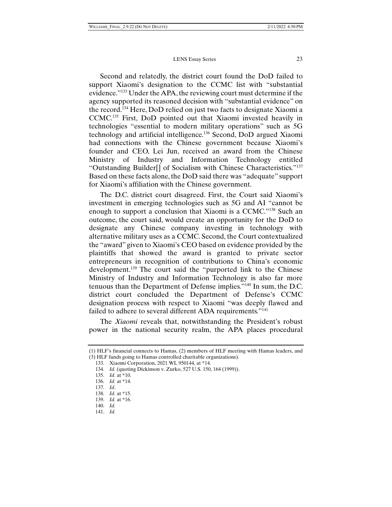Second and relatedly, the district court found the DoD failed to support Xiaomi's designation to the CCMC list with "substantial evidence."133 Under the APA, the reviewing court must determine if the agency supported its reasoned decision with "substantial evidence" on the record.134 Here, DoD relied on just two facts to designate Xiaomi a CCMC.135 First, DoD pointed out that Xiaomi invested heavily in technologies "essential to modern military operations" such as 5G technology and artificial intelligence.136 Second, DoD argued Xiaomi had connections with the Chinese government because Xiaomi's founder and CEO, Lei Jun, received an award from the Chinese Ministry of Industry and Information Technology entitled "Outstanding Builder[] of Socialism with Chinese Characteristics."137 Based on these facts alone, the DoD said there was "adequate" support for Xiaomi's affiliation with the Chinese government.

The D.C. district court disagreed. First, the Court said Xiaomi's investment in emerging technologies such as 5G and AI "cannot be enough to support a conclusion that Xiaomi is a CCMC."138 Such an outcome, the court said, would create an opportunity for the DoD to designate any Chinese company investing in technology with alternative military uses as a CCMC. Second, the Court contextualized the "award" given to Xiaomi's CEO based on evidence provided by the plaintiffs that showed the award is granted to private sector entrepreneurs in recognition of contributions to China's economic development.139 The court said the "purported link to the Chinese Ministry of Industry and Information Technology is also far more tenuous than the Department of Defense implies."140 In sum, the D.C. district court concluded the Department of Defense's CCMC designation process with respect to Xiaomi "was deeply flawed and failed to adhere to several different ADA requirements."<sup>141</sup>

The *Xiaomi* reveals that, notwithstanding the President's robust power in the national security realm, the APA places procedural

<sup>(1)</sup> HLF's financial connects to Hamas, (2) members of HLF meeting with Hamas leaders, and (3) HLF funds going to Hamas controlled charitable organizations).

 <sup>133.</sup> Xiaomi Corporation, 2021 WL 950144, at \*14.

 <sup>134.</sup> *Id.* (quoting Dickinson v. Zurko, 527 U.S. 150, 164 (1999)).

 <sup>135.</sup> *Id.* at \*10.

 <sup>136.</sup> *Id.* at \*14.

 <sup>137.</sup> *Id*.

 <sup>138.</sup> *Id.* at \*15.

 <sup>139.</sup> *Id.* at \*16.

 <sup>140.</sup> *Id.* 

 <sup>141.</sup> *Id.*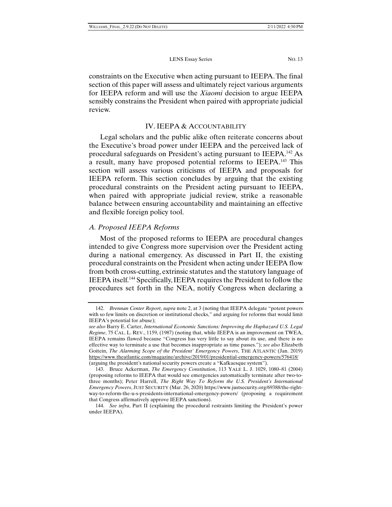constraints on the Executive when acting pursuant to IEEPA. The final section of this paper will assess and ultimately reject various arguments for IEEPA reform and will use the *Xiaomi* decision to argue IEEPA sensibly constrains the President when paired with appropriate judicial review.

#### IV. IEEPA & ACCOUNTABILITY

Legal scholars and the public alike often reiterate concerns about the Executive's broad power under IEEPA and the perceived lack of procedural safeguards on President's acting pursuant to IEEPA.142 As a result, many have proposed potential reforms to IEEPA.143 This section will assess various criticisms of IEEPA and proposals for IEEPA reform. This section concludes by arguing that the existing procedural constraints on the President acting pursuant to IEEPA, when paired with appropriate judicial review, strike a reasonable balance between ensuring accountability and maintaining an effective and flexible foreign policy tool.

#### *A. Proposed IEEPA Reforms*

Most of the proposed reforms to IEEPA are procedural changes intended to give Congress more supervision over the President acting during a national emergency. As discussed in Part II, the existing procedural constraints on the President when acting under IEEPA flow from both cross-cutting, extrinsic statutes and the statutory language of IEEPA itself.144 Specifically, IEEPA requires the President to follow the procedures set forth in the NEA, notify Congress when declaring a

 <sup>142.</sup> *Brennan Center Report*, *supra* note 2, at 3 (noting that IEEPA delegate "potent powers with so few limits on discretion or institutional checks," and arguing for reforms that would limit IEEPA's potential for abuse);

*see also* Barry E. Carter, *International Economic Sanctions: Improving the Haphazard U.S. Legal Regime*, 75 CAL. L. REV., 1159, (1987) (noting that, while IEEPA is an improvement on TWEA, IEEPA remains flawed because "Congress has very little to say about its use, and there is no effective way to terminate a use that becomes inappropriate as time passes."); *see also* Elizabeth Goitein, *The Alarming Scope of the President' Emergency Powers*, THE ATLANTIC (Jan. 2019) https://www.theatlantic.com/magazine/archive/2019/01/presidential-emergency-powers/576418/ (arguing the president's national security powers create a "Kafkaesque system").

 <sup>143.</sup> Bruce Ackerman, *The Emergency Constitution*, 113 YALE L. J. 1029, 1080–81 (2004) (proposing reforms to IEEPA that would see emergencies automatically terminate after two-tothree months); Peter Harrell, *The Right Way To Reform the U.S. President's International Emergency Powers*, JUST SECURITY (Mar. 26, 2020) https://www.justsecurity.org/69388/the-rightway-to-reform-the-u-s-presidents-international-emergency-powers/ (proposing a requirement that Congress affirmatively approve IEEPA sanctions).

 <sup>144.</sup> *See infra*, Part II (explaining the procedural restraints limiting the President's power under IEEPA).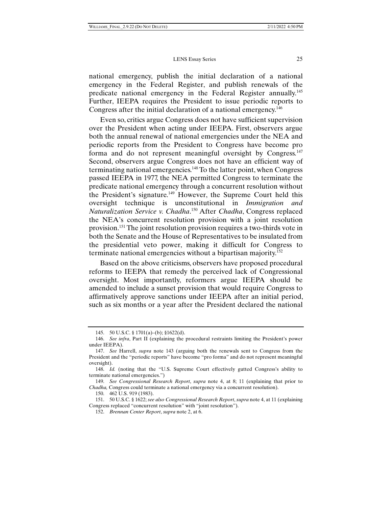#### LENS Essay Series 25

national emergency, publish the initial declaration of a national emergency in the Federal Register, and publish renewals of the predicate national emergency in the Federal Register annually.145 Further, IEEPA requires the President to issue periodic reports to Congress after the initial declaration of a national emergency.<sup>146</sup>

Even so, critics argue Congress does not have sufficient supervision over the President when acting under IEEPA. First, observers argue both the annual renewal of national emergencies under the NEA and periodic reports from the President to Congress have become pro forma and do not represent meaningful oversight by Congress.<sup>147</sup> Second, observers argue Congress does not have an efficient way of terminating national emergencies.148 To the latter point, when Congress passed IEEPA in 1977, the NEA permitted Congress to terminate the predicate national emergency through a concurrent resolution without the President's signature.<sup>149</sup> However, the Supreme Court held this oversight technique is unconstitutional in *Immigration and Naturalization Service v. Chadha*. 150 After *Chadha*, Congress replaced the NEA's concurrent resolution provision with a joint resolution provision.151 The joint resolution provision requires a two-thirds vote in both the Senate and the House of Representatives to be insulated from the presidential veto power, making it difficult for Congress to terminate national emergencies without a bipartisan majority.152

Based on the above criticisms, observers have proposed procedural reforms to IEEPA that remedy the perceived lack of Congressional oversight. Most importantly, reformers argue IEEPA should be amended to include a sunset provision that would require Congress to affirmatively approve sanctions under IEEPA after an initial period, such as six months or a year after the President declared the national

 <sup>145. 50</sup> U.S.C. § 1701(a)–(b); §1622(d).

 <sup>146.</sup> *See infra*, Part II (explaining the procedural restraints limiting the President's power under IEEPA).

 <sup>147.</sup> *See* Harrell, *supra* note 143 (arguing both the renewals sent to Congress from the President and the "periodic reports" have become "pro forma" and do not represent meaningful oversight).

 <sup>148.</sup> *Id.* (noting that the "U.S. Supreme Court effectively gutted Congress's ability to terminate national emergencies.")

 <sup>149.</sup> *See Congressional Research Report*, *supra* note 4, at 8; 11 (explaining that prior to *Chadha,* Congress could terminate a national emergency via a concurrent resolution).

 <sup>150. 462</sup> U.S. 919 (1983).

 <sup>151. 50</sup> U.S.C. § 1622; *see also Congressional Research Report*, *supra* note 4, at 11 (explaining Congress replaced "concurrent resolution" with "joint resolution").

 <sup>152.</sup> *Brennan Center Report*, *supra* note 2, at 6.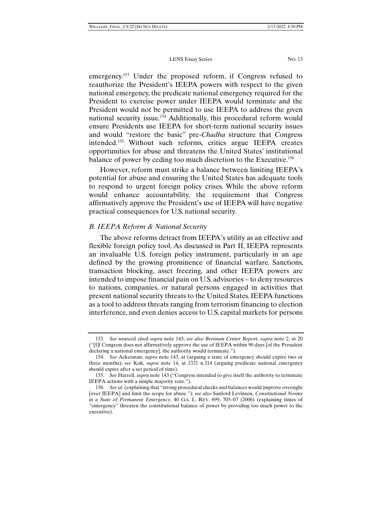emergency.<sup>153</sup> Under the proposed reform, if Congress refused to reauthorize the President's IEEPA powers with respect to the given national emergency, the predicate national emergency required for the President to exercise power under IEEPA would terminate and the President would not be permitted to use IEEPA to address the given national security issue.154 Additionally, this procedural reform would ensure Presidents use IEEPA for short-term national security issues and would "restore the basic" pre-*Chadha* structure that Congress intended.155 Without such reforms, critics argue IEEPA creates opportunities for abuse and threatens the United States' institutional balance of power by ceding too much discretion to the Executive.<sup>156</sup>

However, reform must strike a balance between limiting IEEPA's potential for abuse and ensuring the United States has adequate tools to respond to urgent foreign policy crises. While the above reform would enhance accountability, the requirement that Congress affirmatively approve the President's use of IEEPA will have negative practical consequences for U.S. national security.

#### *B. IEEPA Reform & National Security*

The above reforms detract from IEEPA's utility as an effective and flexible foreign policy tool. As discussed in Part II, IEEPA represents an invaluable U.S. foreign policy instrument, particularly in an age defined by the growing prominence of financial warfare. Sanctions, transaction blocking, asset freezing, and other IEEPA powers are intended to impose financial pain on U.S. advisories – to deny resources to nations, companies, or natural persons engaged in activities that present national security threats to the United States. IEEPA functions as a tool to address threats ranging from terrorism financing to election interference, and even denies access to U.S. capital markets for persons

 <sup>153.</sup> *See* sourced cited *supra* note 143; *see also Brennan Center Report*, *supra* note 2, at 20 ("[I]f Congress does not affirmatively approve the use of IEEPA within 90 days [of the President declaring a national emergency], the authority would terminate.").

 <sup>154.</sup> *See* Ackerman, *supra* note 143, at (arguing a state of emergency should expire two or three months); *see* Koh, *supra* note 14, at 1321 n.314 (arguing predicate national emergency should expire after a set period of time).

 <sup>155.</sup> *See* Harrell, *supra* note 143 ("Congress intended to give itself the authority to terminate IEEPA actions with a simple majority vote.").

 <sup>156.</sup> *See id.* (explaining that "strong procedural checks and balances would improve oversight [over IEEPA] and limit the scope for abuse."); *see also* Sanford Levinson, *Constitutional Norms in a State of Permanent Emergency*, 40 GA. L. REV. 699, 705–07 (2006) (explaining times of "emergency" threaten the constitutional balance of power by providing too much power to the executive).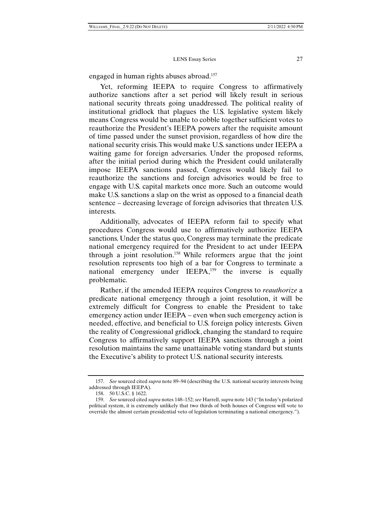engaged in human rights abuses abroad.<sup>157</sup>

Yet, reforming IEEPA to require Congress to affirmatively authorize sanctions after a set period will likely result in serious national security threats going unaddressed. The political reality of institutional gridlock that plagues the U.S. legislative system likely means Congress would be unable to cobble together sufficient votes to reauthorize the President's IEEPA powers after the requisite amount of time passed under the sunset provision, regardless of how dire the national security crisis. This would make U.S. sanctions under IEEPA a waiting game for foreign adversaries. Under the proposed reforms, after the initial period during which the President could unilaterally impose IEEPA sanctions passed, Congress would likely fail to reauthorize the sanctions and foreign advisories would be free to engage with U.S. capital markets once more. Such an outcome would make U.S. sanctions a slap on the wrist as opposed to a financial death sentence – decreasing leverage of foreign advisories that threaten U.S. interests.

Additionally, advocates of IEEPA reform fail to specify what procedures Congress would use to affirmatively authorize IEEPA sanctions. Under the status quo, Congress may terminate the predicate national emergency required for the President to act under IEEPA through a joint resolution.158 While reformers argue that the joint resolution represents too high of a bar for Congress to terminate a national emergency under IEEPA,<sup>159</sup> the inverse is equally problematic.

Rather, if the amended IEEPA requires Congress to *reauthorize* a predicate national emergency through a joint resolution, it will be extremely difficult for Congress to enable the President to take emergency action under IEEPA – even when such emergency action is needed, effective, and beneficial to U.S. foreign policy interests. Given the reality of Congressional gridlock, changing the standard to require Congress to affirmatively support IEEPA sanctions through a joint resolution maintains the same unattainable voting standard but stunts the Executive's ability to protect U.S. national security interests.

 <sup>157.</sup> *See* sourced cited *supra* note 89–94 (describing the U.S. national security interests being addressed through IEEPA).

 <sup>158. 50</sup> U.S.C. § 1622.

 <sup>159.</sup> *See* sourced cited *supra* notes 148–152; *see* Harrell, *supra* note 143 ("In today's polarized political system, it is extremely unlikely that two thirds of both houses of Congress will vote to override the almost certain presidential veto of legislation terminating a national emergency.").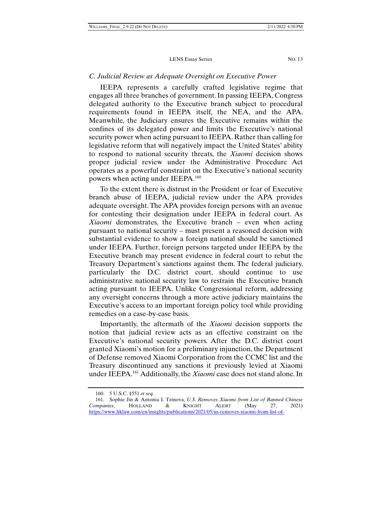#### *C. Judicial Review as Adequate Oversight on Executive Power*

IEEPA represents a carefully crafted legislative regime that engages all three branches of government. In passing IEEPA, Congress delegated authority to the Executive branch subject to procedural requirements found in IEEPA itself, the NEA, and the APA. Meanwhile, the Judiciary ensures the Executive remains within the confines of its delegated power and limits the Executive's national security power when acting pursuant to IEEPA. Rather than calling for legislative reform that will negatively impact the United States' ability to respond to national security threats, the *Xiaomi* decision shows proper judicial review under the Administrative Procedure Act operates as a powerful constraint on the Executive's national security powers when acting under IEEPA.160

To the extent there is distrust in the President or fear of Executive branch abuse of IEEPA, judicial review under the APA provides adequate oversight. The APA provides foreign persons with an avenue for contesting their designation under IEEPA in federal court. As *Xiaomi* demonstrates, the Executive branch – even when acting pursuant to national security – must present a reasoned decision with substantial evidence to show a foreign national should be sanctioned under IEEPA. Further, foreign persons targeted under IEEPA by the Executive branch may present evidence in federal court to rebut the Treasury Department's sanctions against them. The federal judiciary, particularly the D.C. district court, should continue to use administrative national security law to restrain the Executive branch acting pursuant to IEEPA. Unlike Congressional reform, addressing any oversight concerns through a more active judiciary maintains the Executive's access to an important foreign policy tool while providing remedies on a case-by-case basis.

Importantly, the aftermath of the *Xiaomi* decision supports the notion that judicial review acts as an effective constraint on the Executive's national security powers. After the D.C. district court granted Xiaomi's motion for a preliminary injunction, the Department of Defense removed Xiaomi Corporation from the CCMC list and the Treasury discontinued any sanctions it previously levied at Xiaomi under IEEPA.161 Additionally, the *Xiaomi* case does not stand alone. In

 <sup>160. 5</sup> U.S.C. §551 *et seq.*

 <sup>161.</sup> Sophie Jin & Antonia I. Tzinova, *U.S. Removes Xiaomi from List of Banned Chinese Companies*, HOLLAND & KNIGHT ALERT (May 27, 2021) https://www.hklaw.com/en/insights/publications/2021/05/us-removes-xiaomi-from-list-of-